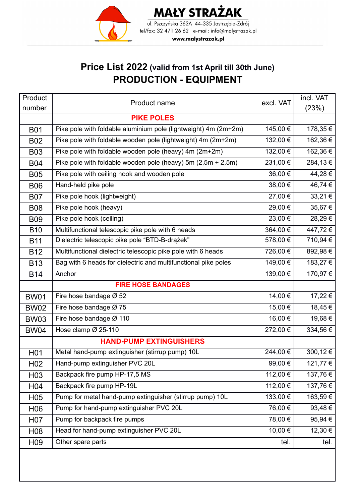

#### **MAŁY STRAŻAK** ul. Pszczyńska 362A 44-335 Jastrzębie-Zdrój

tel/fax: 32 471 26 62 e-mail: info@malystrazak.pl

www.malystrazak.pl

### **Price List 2022 (valid from 1st April till 30th June) PRODUCTION - EQUIPMENT**

| Product          | Product name                                                    | excl. VAT | incl. VAT   |
|------------------|-----------------------------------------------------------------|-----------|-------------|
| number           |                                                                 |           | (23%)       |
|                  | <b>PIKE POLES</b>                                               |           |             |
| <b>B01</b>       | Pike pole with foldable aluminium pole (lightweight) 4m (2m+2m) | 145,00 €  | 178,35€     |
| <b>B02</b>       | Pike pole with foldable wooden pole (lightweight) 4m (2m+2m)    | 132,00 €  | 162,36€     |
| <b>B03</b>       | Pike pole with foldable wooden pole (heavy) 4m (2m+2m)          | 132,00 €  | 162,36€     |
| <b>B04</b>       | Pike pole with foldable wooden pole (heavy) 5m $(2,5m + 2,5m)$  | 231,00€   | 284,13€     |
| <b>B05</b>       | Pike pole with ceiling hook and wooden pole                     | 36,00 €   | 44,28€      |
| <b>B06</b>       | Hand-held pike pole                                             | 38,00 €   | 46,74 €     |
| <b>B07</b>       | Pike pole hook (lightweight)                                    | 27,00 €   | $33,21 \in$ |
| <b>B08</b>       | Pike pole hook (heavy)                                          | 29,00 €   | 35,67€      |
| <b>B09</b>       | Pike pole hook (ceiling)                                        | 23,00 €   | 28,29€      |
| <b>B10</b>       | Multifunctional telescopic pike pole with 6 heads               | 364,00€   | 447,72€     |
| <b>B11</b>       | Dielectric telescopic pike pole "BTD-B-drażek"                  | 578,00€   | 710,94 €    |
| <b>B12</b>       | Multifunctional dielectric telescopic pike pole with 6 heads    | 726,00€   | 892,98€     |
| <b>B13</b>       | Bag with 6 heads for dielectric and multifunctional pike poles  | 149,00€   | 183,27€     |
| <b>B14</b>       | Anchor                                                          | 139,00€   | 170,97€     |
|                  | <b>FIRE HOSE BANDAGES</b>                                       |           |             |
| <b>BW01</b>      | Fire hose bandage Ø 52                                          | 14,00 €   | 17,22€      |
| <b>BW02</b>      | Fire hose bandage Ø 75                                          | 15,00 €   | 18,45€      |
| <b>BW03</b>      | Fire hose bandage Ø 110                                         | 16,00 €   | 19,68€      |
| <b>BW04</b>      | Hose clamp Ø 25-110                                             | 272,00€   | 334,56€     |
|                  | <b>HAND-PUMP EXTINGUISHERS</b>                                  |           |             |
| H <sub>0</sub> 1 | Metal hand-pump extinguisher (stirrup pump) 10L                 | 244,00€   | 300,12€     |
| H <sub>02</sub>  | Hand-pump extinguisher PVC 20L                                  | 99,00€    | 121,77 €    |
| H <sub>03</sub>  | Backpack fire pump HP-17,5 MS                                   | 112,00 €  | 137,76€     |
| H <sub>04</sub>  | Backpack fire pump HP-19L                                       | 112,00 €  | 137,76€     |
| H <sub>05</sub>  | Pump for metal hand-pump extinguisher (stirrup pump) 10L        | 133,00 €  | 163,59€     |
| H <sub>06</sub>  | Pump for hand-pump extinguisher PVC 20L                         | 76,00 €   | 93,48€      |
| H <sub>0</sub> 7 | Pump for backpack fire pumps                                    | 78,00 €   | 95,94€      |
| H <sub>0</sub> 8 | Head for hand-pump extinguisher PVC 20L                         | 10,00 €   | 12,30 €     |
| H <sub>09</sub>  | Other spare parts                                               | tel.      | tel.        |
|                  |                                                                 |           |             |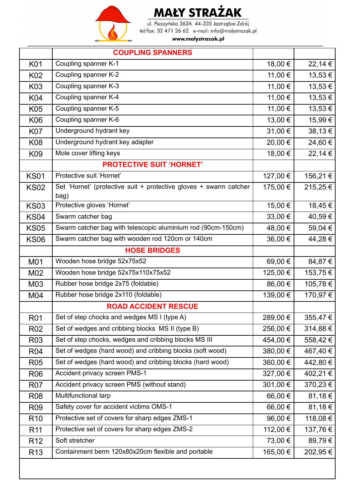

ul. Pszczyńska 362A 44-335 Jastrzębie-Zdrój tel/fax: 32 471 26 62 e-mail: info@malystrazak.pl

|                 | <b>COUPLING SPANNERS</b>                                                  |          |          |
|-----------------|---------------------------------------------------------------------------|----------|----------|
| K01             | Coupling spanner K-1                                                      | 18,00 €  | 22,14 €  |
| K02             | Coupling spanner K-2                                                      | 11,00 €  | 13,53 €  |
| K03             | Coupling spanner K-3                                                      | 11,00 €  | 13,53€   |
| K04             | Coupling spanner K-4                                                      | 11,00 €  | 13,53€   |
| K05             | Coupling spanner K-5                                                      | 11,00 €  | 13,53€   |
| <b>K06</b>      | Coupling spanner K-6                                                      | 13,00 €  | 15,99€   |
| <b>K07</b>      | Underground hydrant key                                                   | 31,00 €  | 38,13€   |
| <b>K08</b>      | Underground hydrant key adapter                                           | 20,00€   | 24,60€   |
| K09             | Mole cover lifting keys                                                   | 18,00 €  | 22,14 €  |
|                 | <b>PROTECTIVE SUIT 'HORNET'</b>                                           |          |          |
| <b>KS01</b>     | Protective suit 'Hornet'                                                  | 127,00 € | 156,21 € |
| <b>KS02</b>     | Set 'Hornet' (protective suit + protective gloves + swarm catcher<br>bag) | 175,00 € | 215,25€  |
| <b>KS03</b>     | Protective gloves 'Hornet'                                                | 15,00 €  | 18,45€   |
| <b>KS04</b>     | Swarm catcher bag                                                         | 33,00 €  | 40,59€   |
| <b>KS05</b>     | Swarm catcher bag with telescopic aluminium rod (90cm-150cm)              | 48,00 €  | 59,04 €  |
| <b>KS06</b>     | Swarm catcher bag with wooden rod 120cm or 140cm                          | 36,00 €  | 44,28€   |
|                 | <b>HOSE BRIDGES</b>                                                       |          |          |
| M01             | Wooden hose bridge 52x75x52                                               | 69,00€   | 84,87€   |
| M02             | Wooden hose bridge 52x75x110x75x52                                        | 125,00 € | 153,75€  |
| M03             | Rubber hose bridge 2x75 (foldable)                                        | 86,00€   | 105,78€  |
| M04             | Rubber hose bridge 2x110 (foldable)                                       | 139,00 € | 170,97€  |
|                 | <b>ROAD ACCIDENT RESCUE</b>                                               |          |          |
| <b>R01</b>      | Set of step chocks and wedges MS I (type A)                               | 289,00 € | 355,47€  |
| <b>R02</b>      | Set of wedges and cribbing blocks MS II (type B)                          | 256,00 € | 314,88€  |
| R <sub>03</sub> | Set of step chocks, wedges and cribbing blocks MS III                     | 454,00 € | 558,42€  |
| <b>R04</b>      | Set of wedges (hard wood) and cribbing blocks (soft wood)                 | 380,00 € | 467,40 € |
| <b>R05</b>      | Set of wedges (hard wood) and cribbing blocks (hard wood)                 | 360,00 € | 442,80€  |
| <b>R06</b>      | Accident privacy screen PMS-1                                             | 327,00 € | 402,21€  |
| <b>R07</b>      | Accident privacy screen PMS (without stand)                               | 301,00 € | 370,23€  |
| <b>R08</b>      | Multifunctional tarp                                                      | 66,00 €  | 81,18€   |
| <b>R09</b>      | Safety cover for accident victims OMS-1                                   | 66,00€   | 81,18€   |
| R <sub>10</sub> | Protective set of covers for sharp edges ZMS-1                            | 96,00€   | 118,08€  |
| R <sub>11</sub> | Protective set of covers for sharp edges ZMS-2                            | 112,00 € | 137,76 € |
| R <sub>12</sub> | Soft stretcher                                                            | 73,00 €  | 89,79€   |
| R <sub>13</sub> | Containment berm 120x80x20cm flexible and portable                        | 165,00 € | 202,95€  |
|                 |                                                                           |          |          |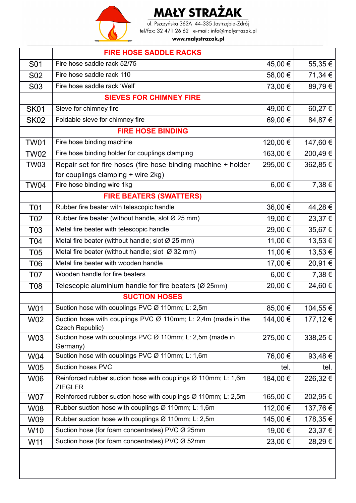

ul. Pszczyńska 362A 44-335 Jastrzębie-Zdrój tel/fax: 32 471 26 62 e-mail: info@malystrazak.pl

|                  | <b>FIRE HOSE SADDLE RACKS</b>                                                                |            |             |
|------------------|----------------------------------------------------------------------------------------------|------------|-------------|
| S01              | Fire hose saddle rack 52/75                                                                  | 45,00 €    | 55,35€      |
| S <sub>02</sub>  | Fire hose saddle rack 110                                                                    | 58,00€     | 71,34 €     |
| S <sub>0</sub> 3 | Fire hose saddle rack 'Well'                                                                 | 73,00 €    | 89,79€      |
|                  | <b>SIEVES FOR CHIMNEY FIRE</b>                                                               |            |             |
| <b>SK01</b>      | Sieve for chimney fire                                                                       | 49,00 €    | 60,27€      |
| <b>SK02</b>      | Foldable sieve for chimney fire                                                              | 69,00€     | 84,87€      |
|                  | <b>FIRE HOSE BINDING</b>                                                                     |            |             |
| <b>TW01</b>      | Fire hose binding machine                                                                    | 120,00 €   | 147,60 €    |
| <b>TW02</b>      | Fire hose binding holder for couplings clamping                                              | 163,00€    | 200,49€     |
| <b>TW03</b>      | Repair set for fire hoses (fire hose binding machine + holder                                | 295,00€    | 362,85€     |
|                  | for couplings clamping + wire 2kg)                                                           |            |             |
| <b>TW04</b>      | Fire hose binding wire 1kg                                                                   | $6,00 \in$ | 7,38 €      |
|                  | <b>FIRE BEATERS (SWATTERS)</b>                                                               |            |             |
| <b>T01</b>       | Rubber fire beater with telescopic handle                                                    | 36,00 €    | 44,28€      |
| T <sub>02</sub>  | Rubber fire beater (without handle, slot Ø 25 mm)                                            | 19,00 €    | 23,37€      |
| T <sub>03</sub>  | Metal fire beater with telescopic handle                                                     | 29,00 €    | 35,67€      |
| <b>T04</b>       | Metal fire beater (without handle; slot $\varnothing$ 25 mm)                                 | 11,00 €    | 13,53 €     |
| <b>T05</b>       | Metal fire beater (without handle; slot $\varnothing$ 32 mm)                                 | 11,00 €    | $13,53 \in$ |
| T06              | Metal fire beater with wooden handle                                                         | 17,00 €    | 20,91€      |
| <b>T07</b>       | Wooden handle for fire beaters                                                               | $6,00 \in$ | 7,38€       |
| T08              | Telescopic aluminium handle for fire beaters (Ø 25mm)                                        | 20,00 €    | 24,60€      |
|                  | <b>SUCTION HOSES</b>                                                                         |            |             |
| <b>W01</b>       | Suction hose with couplings PVC Ø 110mm; L: 2,5m                                             | 85,00 €    | 104,55 €    |
| <b>W02</b>       | Suction hose with couplings PVC $\varnothing$ 110mm; L: 2,4m (made in the<br>Czech Republic) | 144,00 €   | 177,12 €    |
| W03              | Suction hose with couplings PVC Ø 110mm; L: 2,5m (made in<br>Germany)                        | 275,00 €   | 338,25€     |
| W04              | Suction hose with couplings PVC Ø 110mm; L: 1,6m                                             | 76,00 €    | 93,48€      |
| <b>W05</b>       | <b>Suction hoses PVC</b>                                                                     | tel.       | tel.        |
| <b>W06</b>       | Reinforced rubber suction hose with couplings Ø 110mm; L: 1,6m<br><b>ZIEGLER</b>             | 184,00 €   | 226,32€     |
| <b>W07</b>       | Reinforced rubber suction hose with couplings Ø 110mm; L: 2,5m                               | 165,00 €   | 202,95€     |
| <b>W08</b>       | Rubber suction hose with couplings Ø 110mm; L: 1,6m                                          | 112,00 €   | 137,76€     |
| W09              | Rubber suction hose with couplings Ø 110mm; L: 2,5m                                          | 145,00 €   | 178,35 €    |
| W <sub>10</sub>  | Suction hose (for foam concentrates) PVC Ø 25mm                                              | 19,00 €    | 23,37€      |
| W11              | Suction hose (for foam concentrates) PVC Ø 52mm                                              | 23,00 €    | 28,29€      |
|                  |                                                                                              |            |             |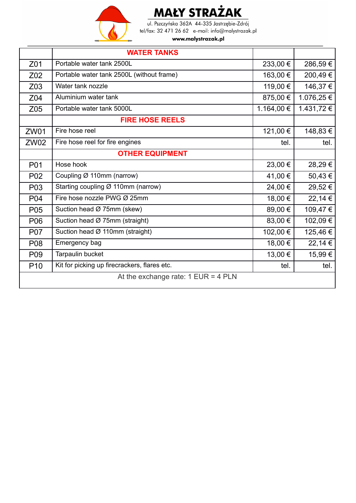

ul. Pszczyńska 362A 44-335 Jastrzębie-Zdrój tel/fax: 32 471 26 62 e-mail: info@malystrazak.pl

|                                         | <b>WATER TANKS</b>                           |            |            |
|-----------------------------------------|----------------------------------------------|------------|------------|
| Z01                                     | Portable water tank 2500L                    | 233,00 €   | 286,59€    |
| Z02                                     | Portable water tank 2500L (without frame)    | 163,00 €   | 200,49€    |
| Z03                                     | Water tank nozzle                            | 119,00 €   | 146,37 €   |
| Z <sub>04</sub>                         | Aluminium water tank                         | 875,00 €   | 1.076,25 € |
| Z05                                     | Portable water tank 5000L                    | 1.164,00 € | 1.431,72 € |
|                                         | <b>FIRE HOSE REELS</b>                       |            |            |
| <b>ZW01</b>                             | Fire hose reel                               | 121,00 €   | 148,83 €   |
| <b>ZW02</b>                             | Fire hose reel for fire engines              | tel.       | tel.       |
|                                         | <b>OTHER EQUIPMENT</b>                       |            |            |
| P01                                     | Hose hook                                    | 23,00 €    | 28,29€     |
| P <sub>02</sub>                         | Coupling Ø 110mm (narrow)                    | 41,00 €    | 50,43€     |
| P03                                     | Starting coupling Ø 110mm (narrow)           | 24,00 €    | 29,52€     |
| P04                                     | Fire hose nozzle PWG Ø 25mm                  | 18,00 €    | 22,14 €    |
| P05                                     | Suction head Ø 75mm (skew)                   | 89,00 €    | 109,47€    |
| P06                                     | Suction head Ø 75mm (straight)               | 83,00 €    | 102,09€    |
| <b>P07</b>                              | Suction head Ø 110mm (straight)              | 102,00 €   | 125,46€    |
| P08                                     | Emergency bag                                | 18,00 €    | 22,14 €    |
| P <sub>09</sub>                         | Tarpaulin bucket                             | 13,00 €    | 15,99€     |
| P <sub>10</sub>                         | Kit for picking up firecrackers, flares etc. | tel.       | tel.       |
| At the exchange rate: $1$ EUR = $4$ PLN |                                              |            |            |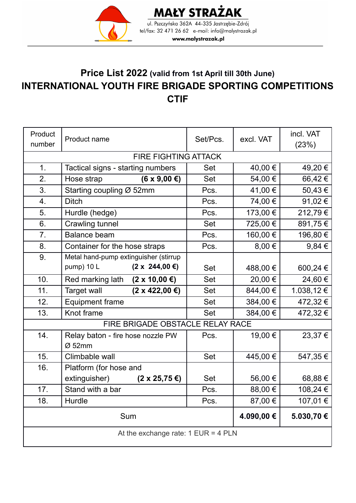

**MAŁY STRAŻAK** ul. Pszczyńska 362A 44-335 Jastrzębie-Zdrój tel/fax: 32 471 26 62 e-mail: info@malystrazak.pl www.malystrazak.pl

#### **Price List 2022 (valid from 1st April till 30th June) INTERNATIONAL YOUTH FIRE BRIGADE SPORTING COMPETITIONS CTIF**

| Product<br>number                       | Product name                               | Set/Pcs.   | excl. VAT | incl. VAT<br>(23%) |
|-----------------------------------------|--------------------------------------------|------------|-----------|--------------------|
|                                         | <b>FIRE FIGHTING ATTACK</b>                |            |           |                    |
| 1 <sub>1</sub>                          | Tactical signs - starting numbers          | Set        | 40,00 €   | 49,20€             |
| 2.                                      | Hose strap<br>$(6 \times 9,00 \in)$        | Set        | 54,00 €   | 66,42€             |
| 3.                                      | Starting coupling Ø 52mm                   | Pcs.       | 41,00 €   | 50,43€             |
| 4.                                      | <b>Ditch</b>                               | Pcs.       | 74,00 €   | 91,02€             |
| 5.                                      | Hurdle (hedge)                             | Pcs.       | 173,00 €  | 212,79€            |
| 6.                                      | <b>Crawling tunnel</b>                     | Set        | 725,00 €  | 891,75€            |
| 7.                                      | <b>Balance beam</b>                        | Pcs.       | 160,00 €  | 196,80 €           |
| 8.                                      | Container for the hose straps              | Pcs.       | 8,00 €    | $9,84 \in$         |
| 9.                                      | Metal hand-pump extinguisher (stirrup      |            |           |                    |
|                                         | $(2 \times 244,00 \in)$<br>pump) 10 L      | Set        | 488,00 €  | 600,24 €           |
| 10.                                     | $(2 \times 10,00 \in)$<br>Red marking lath | Set        | 20,00 €   | 24,60€             |
| 11.                                     | $(2 \times 422,00 \in)$<br>Target wall     | Set        | 844,00 €  | 1.038,12 €         |
| 12.                                     | <b>Equipment frame</b>                     | Set        | 384,00 €  | 472,32€            |
| 13.                                     | Knot frame                                 | Set        | 384,00 €  | 472,32€            |
|                                         | FIRE BRIGADE OBSTACLE RELAY RACE           |            |           |                    |
| 14.                                     | Relay baton - fire hose nozzle PW          | Pcs.       | 19,00 €   | 23,37€             |
|                                         | $Ø$ 52mm                                   |            |           |                    |
| 15.                                     | Climbable wall                             | Set        | 445,00 €  | 547,35€            |
| 16.                                     | Platform (for hose and                     |            |           |                    |
|                                         | extinguisher)<br>$(2 \times 25, 75 \in)$   | Set        | 56,00 €   | 68,88€             |
| 17.                                     | Stand with a bar                           | Pcs.       | 88,00€    | 108,24 €           |
| 18.                                     | Hurdle                                     | Pcs.       | 87,00 €   | 107,01€            |
| Sum                                     |                                            | 4.090,00 € | 5.030,70€ |                    |
| At the exchange rate: $1$ EUR = $4$ PLN |                                            |            |           |                    |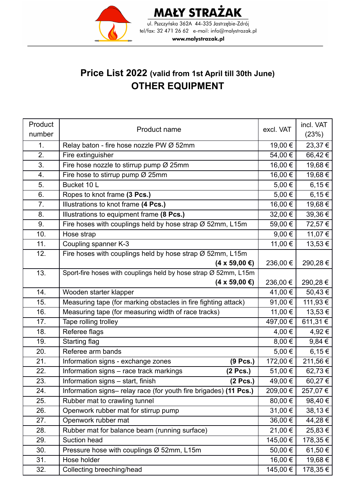

**MAŁY STRAŻAK** ul. Pszczyńska 362A 44-335 Jastrzębie-Zdrój tel/fax: 32 471 26 62 e-mail: info@malystrazak.pl www.malystrazak.pl

### **Price List 2022 (valid from 1st April till 30th June) OTHER EQUIPMENT**

| Product | Product name                                                     | excl. VAT  | incl. VAT       |
|---------|------------------------------------------------------------------|------------|-----------------|
| number  |                                                                  |            | (23%)           |
| 1.      | Relay baton - fire hose nozzle PW Ø 52mm                         |            | 23,37€          |
| 2.      | Fire extinguisher                                                | 54,00 €    | 66,42€          |
| 3.      | Fire hose nozzle to stirrup pump $\varnothing$ 25mm              | 16,00 €    | 19,68€          |
| 4.      | Fire hose to stirrup pump Ø 25mm                                 | 16,00 €    | 19,68 €         |
| 5.      | Bucket 10 L                                                      | 5,00 €     | 6,15 $\epsilon$ |
| 6.      | Ropes to knot frame (3 Pcs.)                                     | 5,00 €     | $6,15 \in$      |
| 7.      | Illustrations to knot frame (4 Pcs.)                             | 16,00 €    | 19,68 €         |
| 8.      | Illustrations to equipment frame (8 Pcs.)                        | 32,00 €    | $39,36 \in$     |
| 9.      | Fire hoses with couplings held by hose strap Ø 52mm, L15m        | 59,00 €    | 72,57 €         |
| 10.     | Hose strap                                                       | 9,00 $\in$ | 11,07 €         |
| 11.     | Coupling spanner K-3                                             | 11,00 €    | 13,53 €         |
| 12.     | Fire hoses with couplings held by hose strap Ø 52mm, L15m        |            |                 |
|         | $(4 \times 59,00 \in)$                                           | 236,00 €   | 290,28€         |
| 13.     | Sport-fire hoses with couplings held by hose strap Ø 52mm, L15m  |            |                 |
|         | $(4 \times 59,00 \in)$                                           | 236,00 €   | 290,28 €        |
| 14.     | Wooden starter klapper                                           | 41,00 €    | 50,43€          |
| 15.     | Measuring tape (for marking obstacles in fire fighting attack)   | 91,00 €    | 111,93 €        |
| 16.     | Measuring tape (for measuring width of race tracks)              | 11,00 €    | 13,53 €         |
| 17.     | Tape rolling trolley                                             | 497,00 €   | 611,31 €        |
| 18.     | Referee flags                                                    | 4,00 €     | 4,92 €          |
| 19.     | Starting flag                                                    | $8,00 \in$ | 9,84€           |
| 20.     | Referee arm bands                                                | 5,00 €     | $6,15 \in$      |
| 21.     | Information signs - exchange zones<br>(9 Pcs.)                   | 172,00 €   | 211,56 €        |
| 22.     | Information signs - race track markings<br>(2 Pcs.)              | 51,00 €    | 62,73€          |
| 23.     | Information signs - start, finish<br>(2 Pcs.)                    | 49,00 €    | 60,27€          |
| 24.     | Information signs-relay race (for youth fire brigades) (11 Pcs.) | 209,00 €   | 257,07 €        |
| 25.     | Rubber mat to crawling tunnel                                    | 80,00 €    | 98,40 €         |
| 26.     | Openwork rubber mat for stirrup pump                             | 31,00 €    | 38,13€          |
| 27.     | Openwork rubber mat                                              | 36,00 €    | 44,28 €         |
| 28.     | Rubber mat for balance beam (running surface)                    | 21,00 €    | 25,83€          |
| 29.     | Suction head                                                     | 145,00 €   | 178,35 €        |
| 30.     | Pressure hose with couplings Ø 52mm, L15m                        | 50,00 €    | 61,50 €         |
| 31.     | Hose holder                                                      | 16,00 €    | 19,68 €         |
| 32.     | Collecting breeching/head                                        | 145,00 €   | 178,35€         |